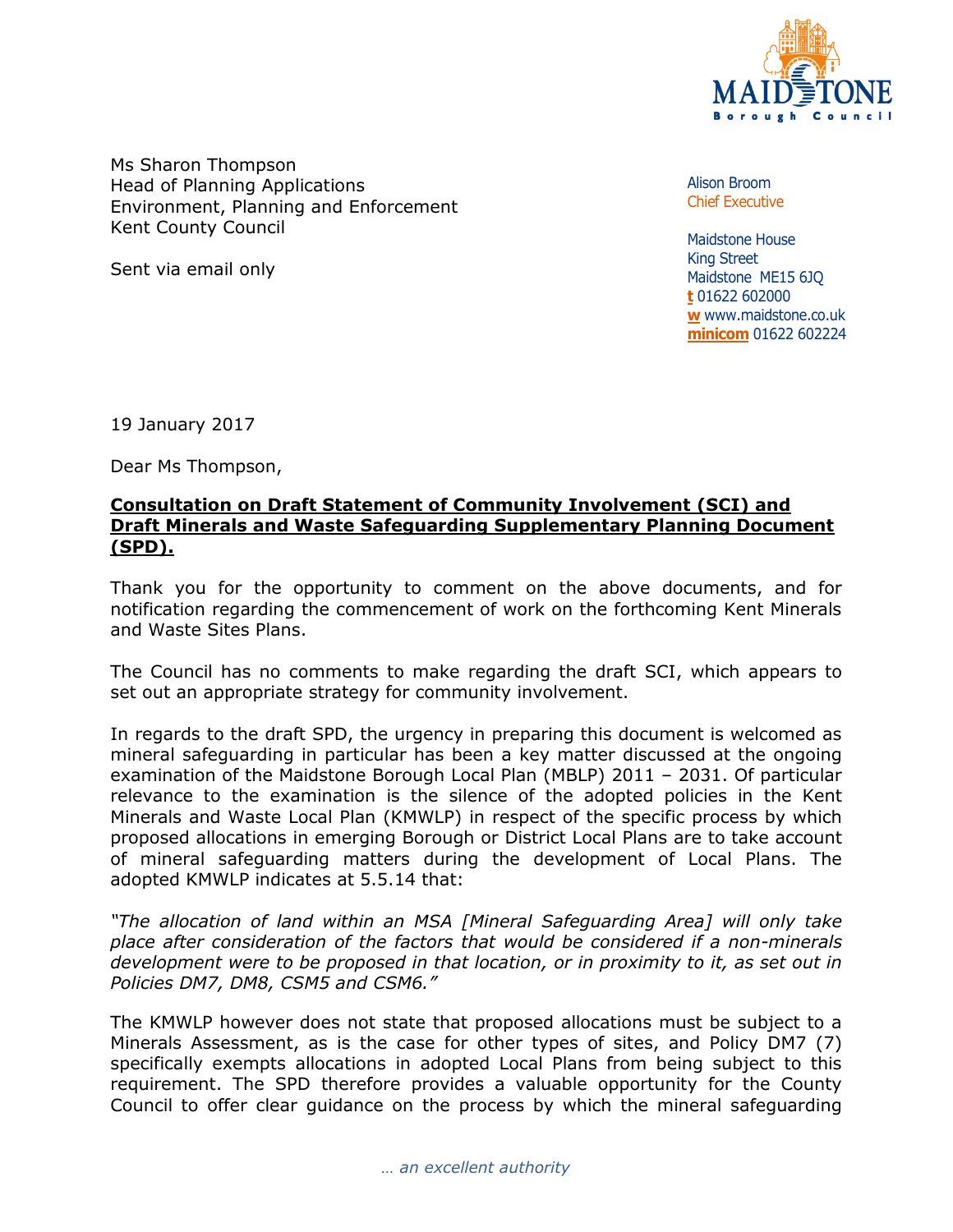

Ms Sharon Thompson Head of Planning Applications Environment, Planning and Enforcement Kent County Council

Sent via email only

Alison Broom Chief Executive

Maidstone House King Street Maidstone ME15 6JQ **t** 01622 602000 **w** www.maidstone.co.uk **minicom** 01622 602224

19 January 2017

Dear Ms Thompson,

## **Consultation on Draft Statement of Community Involvement (SCI) and Draft Minerals and Waste Safeguarding Supplementary Planning Document (SPD).**

Thank you for the opportunity to comment on the above documents, and for notification regarding the commencement of work on the forthcoming Kent Minerals and Waste Sites Plans.

The Council has no comments to make regarding the draft SCI, which appears to set out an appropriate strategy for community involvement.

In regards to the draft SPD, the urgency in preparing this document is welcomed as mineral safeguarding in particular has been a key matter discussed at the ongoing examination of the Maidstone Borough Local Plan (MBLP) 2011 – 2031. Of particular relevance to the examination is the silence of the adopted policies in the Kent Minerals and Waste Local Plan (KMWLP) in respect of the specific process by which proposed allocations in emerging Borough or District Local Plans are to take account of mineral safeguarding matters during the development of Local Plans. The adopted KMWLP indicates at 5.5.14 that:

*"The allocation of land within an MSA [Mineral Safeguarding Area] will only take place after consideration of the factors that would be considered if a non-minerals development were to be proposed in that location, or in proximity to it, as set out in Policies DM7, DM8, CSM5 and CSM6."* 

The KMWLP however does not state that proposed allocations must be subject to a Minerals Assessment, as is the case for other types of sites, and Policy DM7 (7) specifically exempts allocations in adopted Local Plans from being subject to this requirement. The SPD therefore provides a valuable opportunity for the County Council to offer clear guidance on the process by which the mineral safeguarding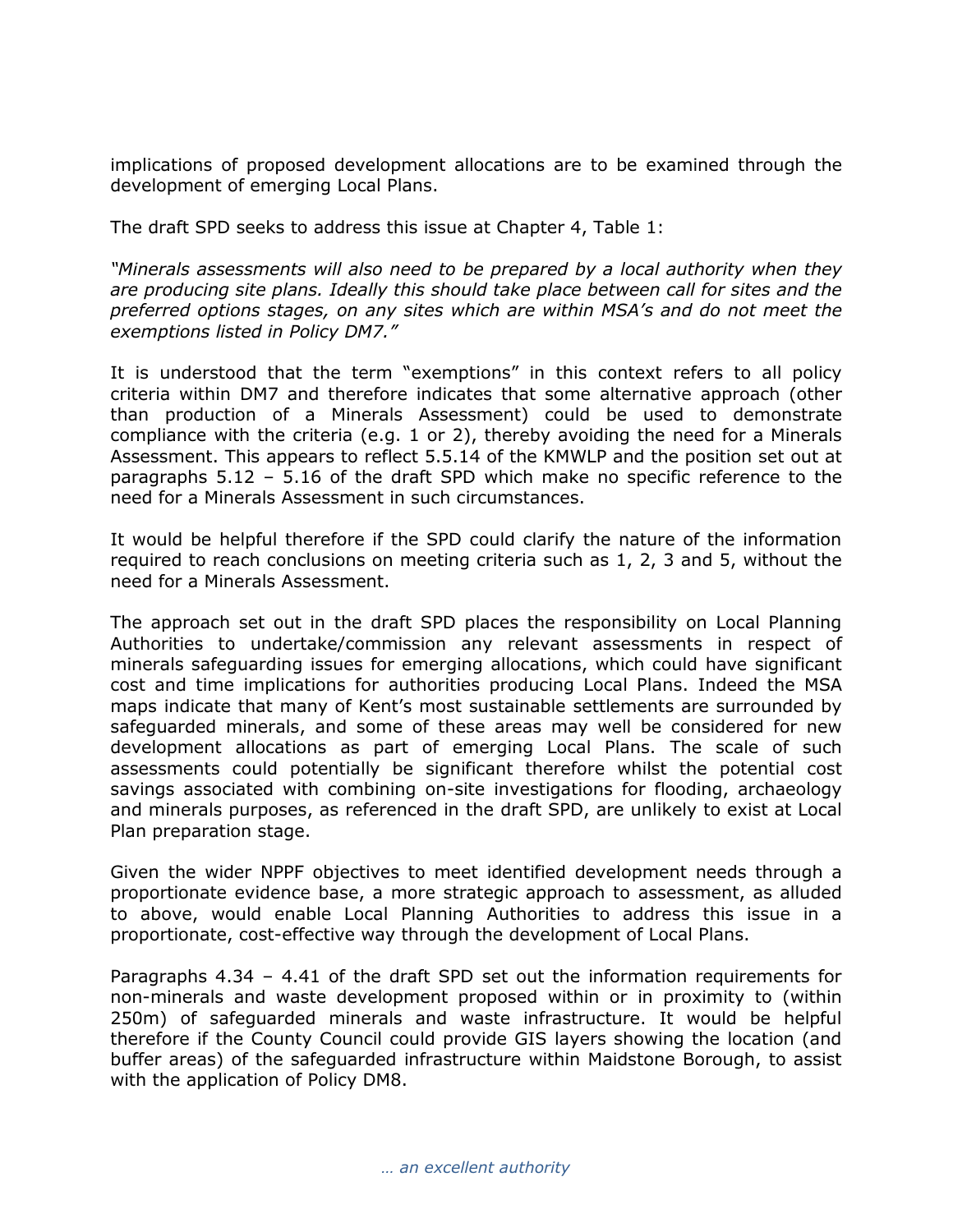implications of proposed development allocations are to be examined through the development of emerging Local Plans.

The draft SPD seeks to address this issue at Chapter 4, Table 1:

*"Minerals assessments will also need to be prepared by a local authority when they are producing site plans. Ideally this should take place between call for sites and the preferred options stages, on any sites which are within MSA's and do not meet the exemptions listed in Policy DM7."* 

It is understood that the term "exemptions" in this context refers to all policy criteria within DM7 and therefore indicates that some alternative approach (other than production of a Minerals Assessment) could be used to demonstrate compliance with the criteria (e.g. 1 or 2), thereby avoiding the need for a Minerals Assessment. This appears to reflect 5.5.14 of the KMWLP and the position set out at paragraphs 5.12 – 5.16 of the draft SPD which make no specific reference to the need for a Minerals Assessment in such circumstances.

It would be helpful therefore if the SPD could clarify the nature of the information required to reach conclusions on meeting criteria such as 1, 2, 3 and 5, without the need for a Minerals Assessment.

The approach set out in the draft SPD places the responsibility on Local Planning Authorities to undertake/commission any relevant assessments in respect of minerals safeguarding issues for emerging allocations, which could have significant cost and time implications for authorities producing Local Plans. Indeed the MSA maps indicate that many of Kent's most sustainable settlements are surrounded by safeguarded minerals, and some of these areas may well be considered for new development allocations as part of emerging Local Plans. The scale of such assessments could potentially be significant therefore whilst the potential cost savings associated with combining on-site investigations for flooding, archaeology and minerals purposes, as referenced in the draft SPD, are unlikely to exist at Local Plan preparation stage.

Given the wider NPPF objectives to meet identified development needs through a proportionate evidence base, a more strategic approach to assessment, as alluded to above, would enable Local Planning Authorities to address this issue in a proportionate, cost-effective way through the development of Local Plans.

Paragraphs 4.34 – 4.41 of the draft SPD set out the information requirements for non-minerals and waste development proposed within or in proximity to (within 250m) of safeguarded minerals and waste infrastructure. It would be helpful therefore if the County Council could provide GIS layers showing the location (and buffer areas) of the safeguarded infrastructure within Maidstone Borough, to assist with the application of Policy DM8.